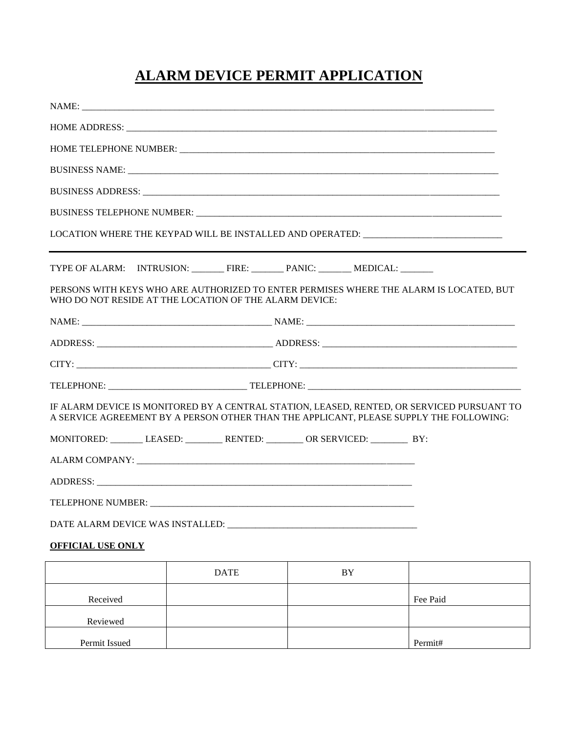## **ALARM DEVICE PERMIT APPLICATION**

| BUSINESS NAME: University of the contract of the contract of the contract of the contract of the contract of the contract of the contract of the contract of the contract of the contract of the contract of the contract of t |             |    |  |  |  |
|--------------------------------------------------------------------------------------------------------------------------------------------------------------------------------------------------------------------------------|-------------|----|--|--|--|
|                                                                                                                                                                                                                                |             |    |  |  |  |
|                                                                                                                                                                                                                                |             |    |  |  |  |
| LOCATION WHERE THE KEYPAD WILL BE INSTALLED AND OPERATED: _______________________                                                                                                                                              |             |    |  |  |  |
|                                                                                                                                                                                                                                |             |    |  |  |  |
|                                                                                                                                                                                                                                |             |    |  |  |  |
| PERSONS WITH KEYS WHO ARE AUTHORIZED TO ENTER PERMISES WHERE THE ALARM IS LOCATED, BUT<br>WHO DO NOT RESIDE AT THE LOCATION OF THE ALARM DEVICE:                                                                               |             |    |  |  |  |
|                                                                                                                                                                                                                                |             |    |  |  |  |
|                                                                                                                                                                                                                                |             |    |  |  |  |
|                                                                                                                                                                                                                                |             |    |  |  |  |
|                                                                                                                                                                                                                                |             |    |  |  |  |
| IF ALARM DEVICE IS MONITORED BY A CENTRAL STATION, LEASED, RENTED, OR SERVICED PURSUANT TO<br>A SERVICE AGREEMENT BY A PERSON OTHER THAN THE APPLICANT, PLEASE SUPPLY THE FOLLOWING:                                           |             |    |  |  |  |
| MONITORED: LEASED: RENTED: OR SERVICED: BY:                                                                                                                                                                                    |             |    |  |  |  |
|                                                                                                                                                                                                                                |             |    |  |  |  |
|                                                                                                                                                                                                                                |             |    |  |  |  |
|                                                                                                                                                                                                                                |             |    |  |  |  |
| DATE ALARM DEVICE WAS INSTALLED: __                                                                                                                                                                                            |             |    |  |  |  |
| <b>OFFICIAL USE ONLY</b>                                                                                                                                                                                                       |             |    |  |  |  |
|                                                                                                                                                                                                                                | <b>DATE</b> | BY |  |  |  |

|               | <b>DATE</b> | BY |          |
|---------------|-------------|----|----------|
| Received      |             |    | Fee Paid |
| Reviewed      |             |    |          |
| Permit Issued |             |    | Permit#  |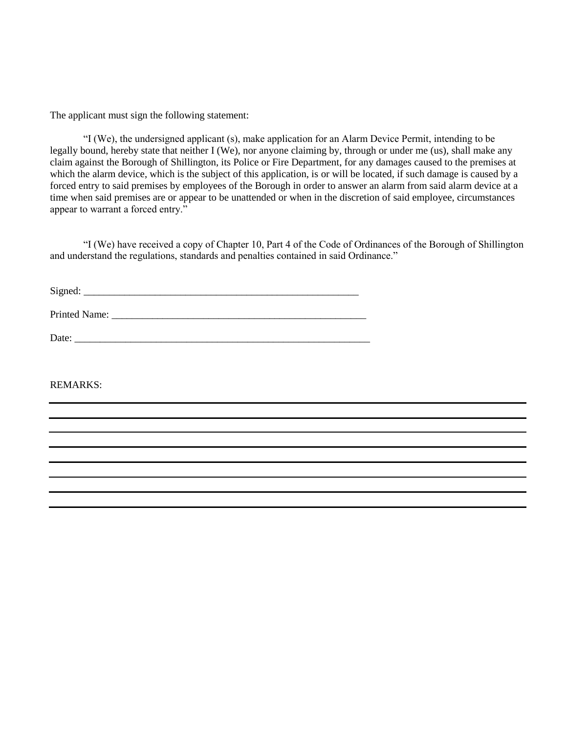The applicant must sign the following statement:

"I (We), the undersigned applicant (s), make application for an Alarm Device Permit, intending to be legally bound, hereby state that neither I (We), nor anyone claiming by, through or under me (us), shall make any claim against the Borough of Shillington, its Police or Fire Department, for any damages caused to the premises at which the alarm device, which is the subject of this application, is or will be located, if such damage is caused by a forced entry to said premises by employees of the Borough in order to answer an alarm from said alarm device at a time when said premises are or appear to be unattended or when in the discretion of said employee, circumstances appear to warrant a forced entry."

"I (We) have received a copy of Chapter 10, Part 4 of the Code of Ordinances of the Borough of Shillington and understand the regulations, standards and penalties contained in said Ordinance."

Signed: \_\_\_\_\_\_\_\_\_\_\_\_\_\_\_\_\_\_\_\_\_\_\_\_\_\_\_\_\_\_\_\_\_\_\_\_\_\_\_\_\_\_\_\_\_\_\_\_\_\_\_\_\_\_

Printed Name: \_\_\_\_\_\_\_\_\_\_\_\_\_\_\_\_\_\_\_\_\_\_\_\_\_\_\_\_\_\_\_\_\_\_\_\_\_\_\_\_\_\_\_\_\_\_\_\_\_\_

| ∽<br>Daic. | _________ | __________ |  |  |  |  |
|------------|-----------|------------|--|--|--|--|
|            |           |            |  |  |  |  |

## REMARKS: